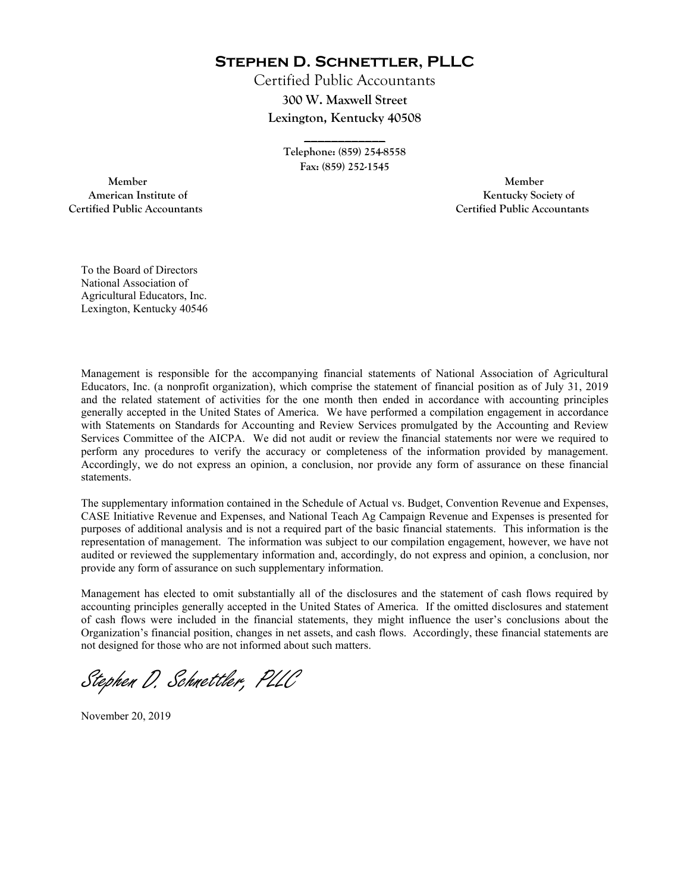**Stephen D. Schnettler, PLLC**

Certified Public Accountants **300 W. Maxwell Street Lexington, Kentucky 40508** 

> **Telephone: (859) 254-8558 Fax: (859) 252-1545**

**\_\_\_\_\_\_\_\_\_\_\_\_** 

 **Member Member Certified Public Accountants Certified Public Accountants** 

American Institute of **Kentucky Society of** 

To the Board of Directors National Association of Agricultural Educators, Inc. Lexington, Kentucky 40546

Management is responsible for the accompanying financial statements of National Association of Agricultural Educators, Inc. (a nonprofit organization), which comprise the statement of financial position as of July 31, 2019 and the related statement of activities for the one month then ended in accordance with accounting principles generally accepted in the United States of America. We have performed a compilation engagement in accordance with Statements on Standards for Accounting and Review Services promulgated by the Accounting and Review Services Committee of the AICPA. We did not audit or review the financial statements nor were we required to perform any procedures to verify the accuracy or completeness of the information provided by management. Accordingly, we do not express an opinion, a conclusion, nor provide any form of assurance on these financial statements.

The supplementary information contained in the Schedule of Actual vs. Budget, Convention Revenue and Expenses, CASE Initiative Revenue and Expenses, and National Teach Ag Campaign Revenue and Expenses is presented for purposes of additional analysis and is not a required part of the basic financial statements. This information is the representation of management. The information was subject to our compilation engagement, however, we have not audited or reviewed the supplementary information and, accordingly, do not express and opinion, a conclusion, nor provide any form of assurance on such supplementary information.

Management has elected to omit substantially all of the disclosures and the statement of cash flows required by accounting principles generally accepted in the United States of America. If the omitted disclosures and statement of cash flows were included in the financial statements, they might influence the user's conclusions about the Organization's financial position, changes in net assets, and cash flows. Accordingly, these financial statements are not designed for those who are not informed about such matters.

Stephen D. Schnettler, PLLC

November 20, 2019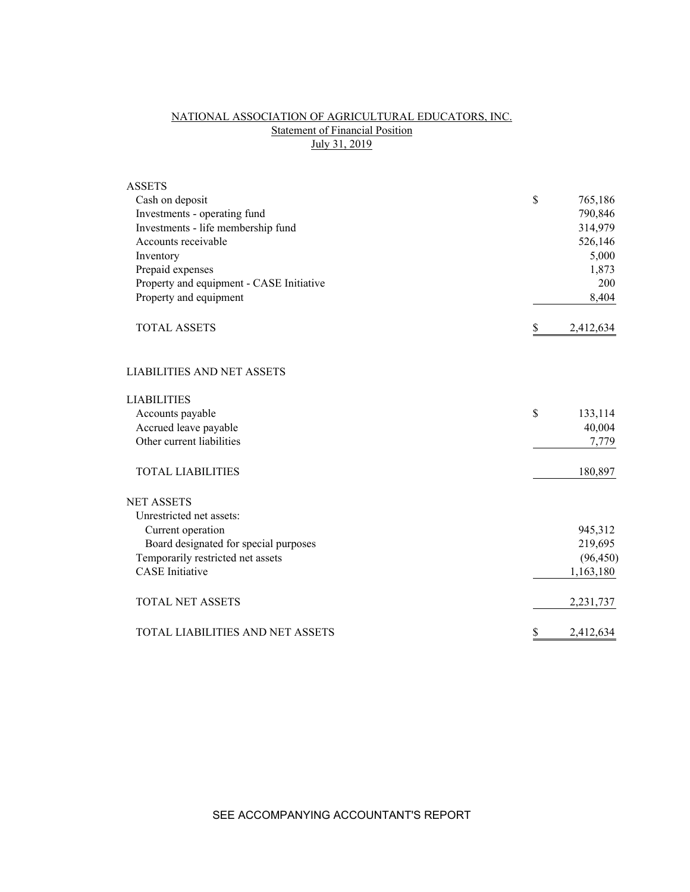# NATIONAL ASSOCIATION OF AGRICULTURAL EDUCATORS, INC. Statement of Financial Position July 31, 2019

| <b>ASSETS</b>                            |                 |
|------------------------------------------|-----------------|
| Cash on deposit                          | \$<br>765,186   |
| Investments - operating fund             | 790,846         |
| Investments - life membership fund       | 314,979         |
| Accounts receivable                      | 526,146         |
| Inventory                                | 5,000           |
| Prepaid expenses                         | 1,873           |
| Property and equipment - CASE Initiative | 200             |
| Property and equipment                   | 8,404           |
| <b>TOTAL ASSETS</b>                      | \$<br>2,412,634 |
| <b>LIABILITIES AND NET ASSETS</b>        |                 |
| <b>LIABILITIES</b>                       |                 |
| Accounts payable                         | \$<br>133,114   |
| Accrued leave payable                    | 40,004          |
| Other current liabilities                | 7,779           |
| <b>TOTAL LIABILITIES</b>                 | 180,897         |
| <b>NET ASSETS</b>                        |                 |
| Unrestricted net assets:                 |                 |
| Current operation                        | 945,312         |
| Board designated for special purposes    | 219,695         |
| Temporarily restricted net assets        | (96, 450)       |
| <b>CASE</b> Initiative                   | 1,163,180       |
| <b>TOTAL NET ASSETS</b>                  | 2,231,737       |
| TOTAL LIABILITIES AND NET ASSETS         | \$<br>2,412,634 |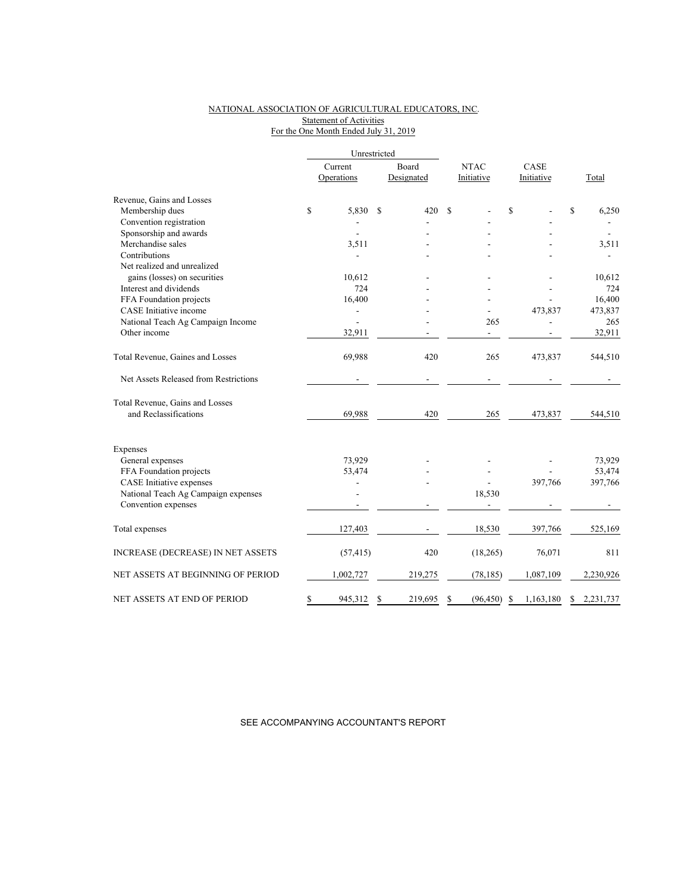### NATIONAL ASSOCIATION OF AGRICULTURAL EDUCATORS, INC. Statement of Activities For the One Month Ended July 31, 2019

|             | Current   |                                | Board      | <b>NTAC</b>  |           | CASE                 |           |         |           |  |
|-------------|-----------|--------------------------------|------------|--------------|-----------|----------------------|-----------|---------|-----------|--|
|             |           |                                | Designated |              |           | Initiative           |           |         | Total     |  |
|             |           |                                |            |              |           |                      |           |         |           |  |
| $\mathbf S$ | 5,830     | S                              | 420        | S            |           | \$                   |           | \$      | 6,250     |  |
|             |           |                                |            |              |           |                      |           |         |           |  |
|             |           |                                |            |              |           |                      |           |         |           |  |
|             | 3,511     |                                |            |              |           |                      |           |         | 3,511     |  |
|             |           |                                |            |              |           |                      |           |         |           |  |
|             |           |                                |            |              |           |                      |           |         |           |  |
|             | 10,612    |                                |            |              |           |                      |           |         | 10,612    |  |
|             | 724       |                                |            |              |           |                      |           |         | 724       |  |
|             | 16,400    |                                |            |              |           |                      |           |         | 16,400    |  |
|             |           |                                |            |              |           |                      | 473,837   |         | 473,837   |  |
|             |           |                                |            |              | 265       |                      |           |         | 265       |  |
|             | 32,911    |                                |            |              | ÷         |                      |           |         | 32,911    |  |
|             | 69,988    |                                | 420        |              | 265       |                      | 473,837   |         | 544,510   |  |
|             |           |                                |            |              |           |                      |           |         |           |  |
|             |           |                                |            |              |           |                      |           |         |           |  |
|             | 69,988    |                                | 420        |              | 265       |                      | 473,837   |         | 544,510   |  |
|             |           |                                |            |              |           |                      |           |         |           |  |
|             |           |                                |            |              |           |                      |           |         | 73,929    |  |
|             |           |                                |            |              |           |                      |           |         | 53,474    |  |
|             |           |                                |            |              |           |                      |           |         | 397,766   |  |
|             |           |                                |            |              |           |                      |           |         |           |  |
|             |           |                                |            |              |           |                      |           |         |           |  |
|             | 127,403   |                                |            |              | 18,530    |                      | 397,766   |         | 525,169   |  |
|             | (57, 415) |                                | 420        |              | (18, 265) |                      | 76,071    |         | 811       |  |
|             | 1,002,727 |                                | 219,275    |              | (78, 185) |                      | 1,087,109 |         | 2,230,926 |  |
| \$          | 945,312   | \$                             | 219,695    | \$           | (96, 450) | S                    | 1,163,180 | \$      | 2,231,737 |  |
|             |           | Operations<br>73,929<br>53,474 |            | Unrestricted |           | Initiative<br>18,530 |           | 397,766 |           |  |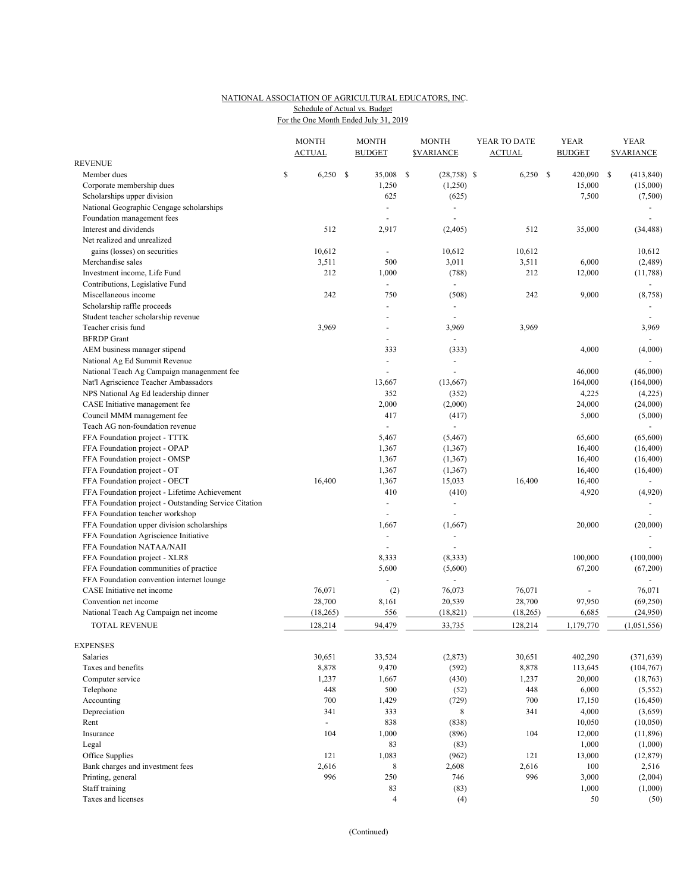#### NATIONAL ASSOCIATION OF AGRICULTURAL EDUCATORS, INC. For the One Month Ended July 31, 2019 Schedule of Actual vs. Budget

|                                                       |    | <b>MONTH</b><br><b>ACTUAL</b> |      | <b>MONTH</b><br><b>BUDGET</b> |     | <b>MONTH</b><br><b><i>SVARIANCE</i></b> | YEAR TO DATE<br><b>ACTUAL</b> |           | YEAR<br><b>BUDGET</b> |    | <b>YEAR</b><br><b>SVARIANCE</b> |
|-------------------------------------------------------|----|-------------------------------|------|-------------------------------|-----|-----------------------------------------|-------------------------------|-----------|-----------------------|----|---------------------------------|
| <b>REVENUE</b>                                        |    |                               |      |                               |     |                                         |                               |           |                       |    |                                 |
| Member dues                                           | \$ | 6,250                         | - \$ | 35,008                        | -\$ | $(28, 758)$ \$                          |                               | 6,250     | \$<br>420,090         | \$ | (413, 840)                      |
| Corporate membership dues                             |    |                               |      | 1,250                         |     | (1,250)                                 |                               |           | 15,000                |    | (15,000)                        |
| Scholarships upper division                           |    |                               |      | 625                           |     | (625)                                   |                               |           | 7,500                 |    | (7,500)                         |
| National Geographic Cengage scholarships              |    |                               |      |                               |     | $\sim$                                  |                               |           |                       |    |                                 |
| Foundation management fees                            |    |                               |      |                               |     | $\overline{\phantom{a}}$                |                               |           |                       |    | $\sim$                          |
| Interest and dividends                                |    | 512                           |      | 2,917                         |     | (2, 405)                                |                               | 512       | 35,000                |    | (34, 488)                       |
| Net realized and unrealized                           |    |                               |      |                               |     |                                         |                               |           |                       |    |                                 |
| gains (losses) on securities                          |    | 10,612                        |      |                               |     | 10,612                                  |                               | 10,612    |                       |    | 10,612                          |
| Merchandise sales                                     |    | 3,511                         |      | 500                           |     | 3,011                                   |                               | 3,511     | 6,000                 |    | (2,489)                         |
| Investment income, Life Fund                          |    | 212                           |      | 1,000                         |     | (788)                                   |                               | 212       | 12,000                |    | (11,788)                        |
| Contributions, Legislative Fund                       |    |                               |      | $\blacksquare$                |     | $\overline{\phantom{a}}$                |                               |           |                       |    | $\overline{\phantom{a}}$        |
| Miscellaneous income                                  |    | 242                           |      | 750                           |     | (508)                                   |                               | 242       | 9,000                 |    | (8, 758)                        |
| Scholarship raffle proceeds                           |    |                               |      |                               |     | $\blacksquare$                          |                               |           |                       |    |                                 |
| Student teacher scholarship revenue                   |    |                               |      |                               |     |                                         |                               |           |                       |    |                                 |
| Teacher crisis fund                                   |    | 3,969                         |      |                               |     | 3,969                                   |                               | 3,969     |                       |    | 3,969                           |
| <b>BFRDP</b> Grant                                    |    |                               |      | $\blacksquare$                |     | $\overline{\phantom{a}}$                |                               |           |                       |    | $\blacksquare$                  |
| AEM business manager stipend                          |    |                               |      | 333                           |     | (333)                                   |                               |           | 4,000                 |    | (4,000)                         |
| National Ag Ed Summit Revenue                         |    |                               |      |                               |     | $\overline{\phantom{a}}$                |                               |           |                       |    |                                 |
| National Teach Ag Campaign managenment fee            |    |                               |      |                               |     |                                         |                               |           | 46,000                |    | (46,000)                        |
| Nat'l Agriscience Teacher Ambassadors                 |    |                               |      | 13,667                        |     | (13,667)                                |                               |           | 164,000               |    | (164,000)                       |
| NPS National Ag Ed leadership dinner                  |    |                               |      | 352                           |     | (352)                                   |                               |           | 4,225                 |    | (4,225)                         |
| CASE Initiative management fee                        |    |                               |      | 2,000                         |     | (2,000)                                 |                               |           | 24,000                |    | (24,000)                        |
| Council MMM management fee                            |    |                               |      | 417                           |     | (417)                                   |                               |           | 5,000                 |    | (5,000)                         |
| Teach AG non-foundation revenue                       |    |                               |      | $\overline{\phantom{a}}$      |     | $\overline{\phantom{a}}$                |                               |           |                       |    |                                 |
|                                                       |    |                               |      | 5,467                         |     | (5, 467)                                |                               |           | 65,600                |    | (65,600)                        |
| FFA Foundation project - TTTK                         |    |                               |      |                               |     |                                         |                               |           |                       |    |                                 |
| FFA Foundation project - OPAP                         |    |                               |      | 1,367                         |     | (1, 367)                                |                               |           | 16,400                |    | (16, 400)                       |
| FFA Foundation project - OMSP                         |    |                               |      | 1,367                         |     | (1, 367)                                |                               |           | 16,400                |    | (16, 400)                       |
| FFA Foundation project - OT                           |    |                               |      | 1,367                         |     | (1, 367)                                |                               |           | 16,400                |    | (16, 400)                       |
| FFA Foundation project - OECT                         |    | 16,400                        |      | 1,367                         |     | 15,033                                  |                               | 16,400    | 16,400                |    |                                 |
| FFA Foundation project - Lifetime Achievement         |    |                               |      | 410                           |     | (410)                                   |                               |           | 4,920                 |    | (4,920)                         |
| FFA Foundation project - Outstanding Service Citation |    |                               |      |                               |     | $\overline{\phantom{a}}$                |                               |           |                       |    |                                 |
| FFA Foundation teacher workshop                       |    |                               |      |                               |     |                                         |                               |           |                       |    |                                 |
| FFA Foundation upper division scholarships            |    |                               |      | 1,667                         |     | (1,667)                                 |                               |           | 20,000                |    | (20,000)                        |
| FFA Foundation Agriscience Initiative                 |    |                               |      | $\blacksquare$                |     | $\sim$                                  |                               |           |                       |    |                                 |
| FFA Foundation NATAA/NAII                             |    |                               |      |                               |     |                                         |                               |           |                       |    |                                 |
| FFA Foundation project - XLR8                         |    |                               |      | 8,333                         |     | (8, 333)                                |                               |           | 100,000               |    | (100,000)                       |
| FFA Foundation communities of practice                |    |                               |      | 5,600                         |     | (5,600)                                 |                               |           | 67,200                |    | (67,200)                        |
| FFA Foundation convention internet lounge             |    |                               |      |                               |     |                                         |                               |           |                       |    | $\sim$                          |
| CASE Initiative net income                            |    | 76,071                        |      | (2)                           |     | 76,073                                  |                               | 76,071    |                       |    | 76,071                          |
| Convention net income                                 |    | 28,700                        |      | 8,161                         |     | 20,539                                  |                               | 28,700    | 97,950                |    | (69, 250)                       |
| National Teach Ag Campaign net income                 |    | (18, 265)                     |      | 556                           |     | (18, 821)                               |                               | (18, 265) | 6,685                 |    | (24,950)                        |
| <b>TOTAL REVENUE</b>                                  |    | 128,214                       |      | 94,479                        |     | 33,735                                  |                               | 128,214   | 1,179,770             |    | (1,051,556)                     |
| <b>EXPENSES</b>                                       |    |                               |      |                               |     |                                         |                               |           |                       |    |                                 |
| Salaries                                              |    | 30,651                        |      | 33,524                        |     | (2,873)                                 |                               | 30,651    | 402,290               |    | (371, 639)                      |
| Taxes and benefits                                    |    | 8,878                         |      | 9,470                         |     | (592)                                   |                               | 8,878     | 113,645               |    | (104, 767)                      |
| Computer service                                      |    | 1,237                         |      | 1,667                         |     | (430)                                   |                               | 1,237     | 20,000                |    | (18, 763)                       |
| Telephone                                             |    | 448                           |      | 500                           |     | (52)                                    |                               | 448       | 6,000                 |    | (5, 552)                        |
| Accounting                                            |    | 700                           |      | 1,429                         |     | (729)                                   |                               | 700       | 17,150                |    | (16, 450)                       |
| Depreciation                                          |    | 341                           |      | 333                           |     | 8                                       |                               | 341       | 4,000                 |    | (3,659)                         |
| Rent                                                  |    | $\sim$                        |      | 838                           |     | (838)                                   |                               |           | 10,050                |    | (10,050)                        |
| Insurance                                             |    | 104                           |      | 1,000                         |     | (896)                                   |                               | 104       | 12,000                |    | (11,896)                        |
|                                                       |    |                               |      |                               |     |                                         |                               |           |                       |    |                                 |
| Legal                                                 |    |                               |      | 83                            |     | (83)                                    |                               |           | 1,000                 |    | (1,000)                         |
| Office Supplies                                       |    | 121                           |      | 1,083                         |     | (962)                                   |                               | 121       | 13,000                |    | (12, 879)                       |
| Bank charges and investment fees                      |    | 2,616                         |      | $\,8\,$                       |     | 2,608                                   |                               | 2,616     | 100                   |    | 2,516                           |
| Printing, general                                     |    | 996                           |      | 250                           |     | 746                                     |                               | 996       | 3,000                 |    | (2,004)                         |
| Staff training                                        |    |                               |      | 83                            |     | (83)                                    |                               |           | 1,000                 |    | (1,000)                         |
| Taxes and licenses                                    |    |                               |      | $\overline{4}$                |     | (4)                                     |                               |           | 50                    |    | (50)                            |

(Continued)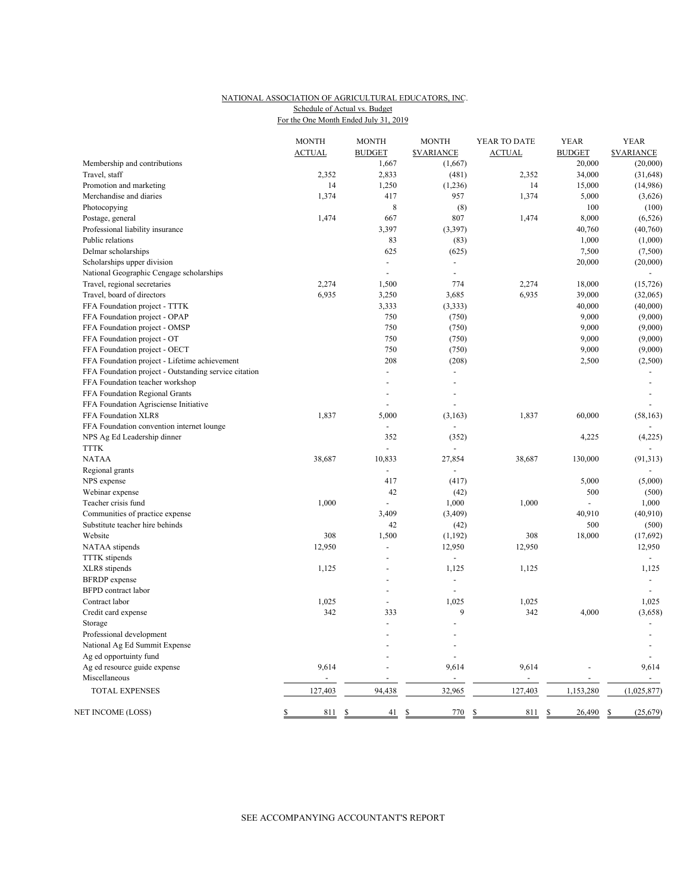#### NATIONAL ASSOCIATION OF AGRICULTURAL EDUCATORS, INC. For the One Month Ended July 31, 2019 Schedule of Actual vs. Budget

|                                                       | <b>MONTH</b><br><b>ACTUAL</b> | <b>MONTH</b><br><b>BUDGET</b> | <b>MONTH</b><br><b>SVARIANCE</b> | YEAR TO DATE<br><b>ACTUAL</b> | <b>YEAR</b><br><b>BUDGET</b> | <b>YEAR</b><br><b>SVARIANCE</b> |
|-------------------------------------------------------|-------------------------------|-------------------------------|----------------------------------|-------------------------------|------------------------------|---------------------------------|
| Membership and contributions                          |                               | 1,667                         | (1,667)                          |                               | 20,000                       | (20,000)                        |
| Travel, staff                                         | 2,352                         | 2,833                         | (481)                            | 2,352                         | 34,000                       | (31, 648)                       |
| Promotion and marketing                               | 14                            | 1,250                         | (1,236)                          | 14                            | 15,000                       | (14,986)                        |
| Merchandise and diaries                               | 1,374                         | 417                           | 957                              | 1,374                         | 5,000                        | (3,626)                         |
| Photocopying                                          |                               | 8                             | (8)                              |                               | 100                          | (100)                           |
| Postage, general                                      | 1,474                         | 667                           | 807                              | 1,474                         | 8,000                        | (6, 526)                        |
| Professional liability insurance                      |                               | 3,397                         | (3,397)                          |                               | 40,760                       | (40,760)                        |
| Public relations                                      |                               | 83                            | (83)                             |                               | 1,000                        | (1,000)                         |
| Delmar scholarships                                   |                               | 625                           | (625)                            |                               | 7,500                        | (7,500)                         |
| Scholarships upper division                           |                               |                               | ÷,                               |                               | 20,000                       | (20,000)                        |
| National Geographic Cengage scholarships              |                               | $\overline{a}$                | ÷,                               |                               |                              | $\sim$                          |
| Travel, regional secretaries                          | 2,274                         | 1,500                         | 774                              | 2,274                         | 18,000                       | (15, 726)                       |
| Travel, board of directors                            | 6,935                         | 3,250                         | 3,685                            | 6,935                         | 39,000                       | (32,065)                        |
| FFA Foundation project - TTTK                         |                               | 3,333                         | (3, 333)                         |                               | 40,000                       | (40,000)                        |
| FFA Foundation project - OPAP                         |                               | 750                           | (750)                            |                               | 9,000                        | (9,000)                         |
| FFA Foundation project - OMSP                         |                               | 750                           | (750)                            |                               | 9,000                        | (9,000)                         |
| FFA Foundation project - OT                           |                               | 750                           | (750)                            |                               | 9,000                        | (9,000)                         |
| FFA Foundation project - OECT                         |                               | 750                           | (750)                            |                               | 9,000                        | (9,000)                         |
| FFA Foundation project - Lifetime achievement         |                               | 208                           | (208)                            |                               | 2,500                        | (2,500)                         |
| FFA Foundation project - Outstanding service citation |                               | $\overline{a}$                | $\overline{a}$                   |                               |                              |                                 |
| FFA Foundation teacher workshop                       |                               | $\overline{a}$                | L,                               |                               |                              | $\overline{a}$                  |
| FFA Foundation Regional Grants                        |                               |                               | ÷,                               |                               |                              |                                 |
| FFA Foundation Agrisciense Initiative                 |                               |                               |                                  |                               |                              |                                 |
| FFA Foundation XLR8                                   | 1,837                         | 5,000                         | (3, 163)                         | 1,837                         | 60,000                       | (58, 163)                       |
| FFA Foundation convention internet lounge             |                               |                               | $\overline{a}$                   |                               |                              |                                 |
| NPS Ag Ed Leadership dinner                           |                               | 352                           | (352)                            |                               | 4,225                        | (4,225)                         |
| <b>TTTK</b>                                           |                               | $\overline{a}$                |                                  |                               |                              |                                 |
| <b>NATAA</b>                                          | 38,687                        | 10,833                        | 27,854                           | 38,687                        | 130,000                      | (91, 313)                       |
| Regional grants                                       |                               |                               |                                  |                               |                              |                                 |
| NPS expense                                           |                               | 417                           | (417)                            |                               | 5,000                        | (5,000)                         |
| Webinar expense                                       |                               | 42                            | (42)                             |                               | 500                          | (500)                           |
| Teacher crisis fund                                   | 1,000                         |                               | 1,000                            | 1,000                         |                              | 1,000                           |
| Communities of practice expense                       |                               | 3,409                         | (3,409)                          |                               | 40,910                       | (40, 910)                       |
| Substitute teacher hire behinds                       |                               | 42                            |                                  |                               | 500                          | (500)                           |
| Website                                               | 308                           | 1,500                         | (42)<br>(1, 192)                 | 308                           | 18,000                       | (17,692)                        |
|                                                       | 12,950                        | $\overline{a}$                | 12,950                           | 12,950                        |                              | 12,950                          |
| NATAA stipends                                        |                               |                               |                                  |                               |                              |                                 |
| <b>TTTK</b> stipends                                  |                               | ÷,<br>÷,                      | $\blacksquare$                   |                               |                              | $\overline{\phantom{a}}$        |
| XLR8 stipends                                         | 1,125                         |                               | 1,125                            | 1,125                         |                              | 1,125                           |
| <b>BFRDP</b> expense                                  |                               |                               |                                  |                               |                              |                                 |
| <b>BFPD</b> contract labor                            |                               | ٠                             | ÷,                               |                               |                              | $\sim$                          |
| Contract labor                                        | 1,025                         | $\overline{\phantom{a}}$      | 1,025                            | 1,025                         |                              | 1,025                           |
| Credit card expense                                   | 342                           | 333                           | 9                                | 342                           | 4,000                        | (3,658)                         |
| Storage                                               |                               | ÷,                            | L,                               |                               |                              |                                 |
| Professional development                              |                               |                               |                                  |                               |                              |                                 |
| National Ag Ed Summit Expense                         |                               |                               | ÷,                               |                               |                              | $\overline{\phantom{a}}$        |
| Ag ed opportuinty fund                                |                               |                               | $\overline{a}$                   |                               |                              |                                 |
| Ag ed resource guide expense                          | 9,614                         | $\overline{a}$                | 9,614                            | 9,614                         |                              | 9,614                           |
| Miscellaneous                                         |                               |                               | $\overline{a}$                   |                               |                              | $\blacksquare$                  |
| <b>TOTAL EXPENSES</b>                                 | 127,403                       | 94,438                        | 32,965                           | 127,403                       | 1,153,280                    | (1,025,877)                     |
| NET INCOME (LOSS)                                     | \$<br>811                     | $\mathbb{S}$<br>41            | \$<br>770                        | \$<br>811                     | \$<br>26,490                 | \$<br>(25, 679)                 |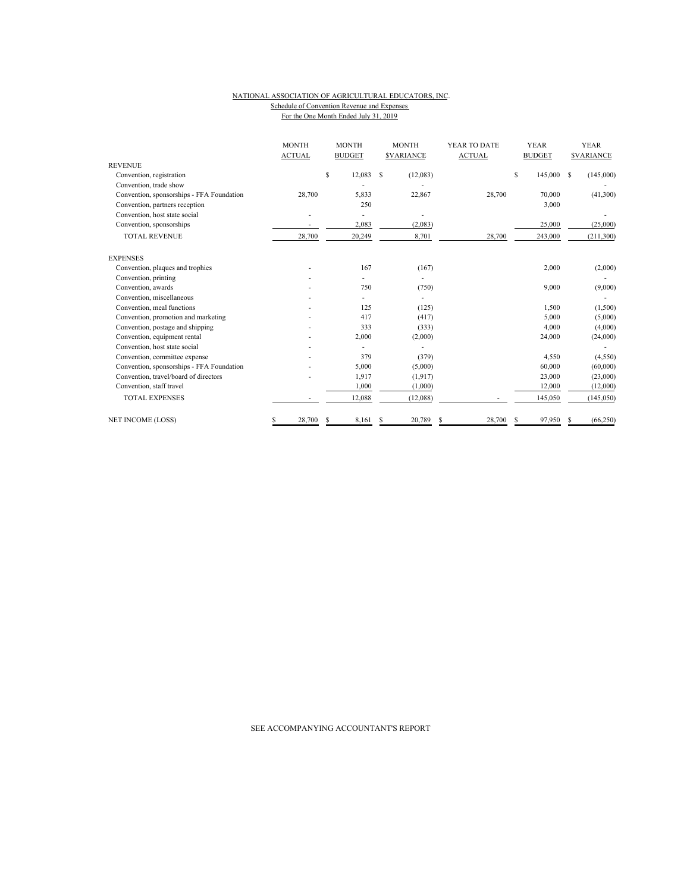#### NATIONAL ASSOCIATION OF AGRICULTURAL EDUCATORS, INC. Schedule of Convention Revenue and Expenses For the One Month Ended July 31, 2019

|                                           | <b>MONTH</b><br><b>ACTUAL</b> | <b>MONTH</b><br><b>BUDGET</b> | <b>MONTH</b><br><b><i>SVARIANCE</i></b> | YEAR TO DATE<br><b>ACTUAL</b> | <b>YEAR</b><br><b>BUDGET</b> | <b>YEAR</b><br><b>SVARIANCE</b> |  |  |
|-------------------------------------------|-------------------------------|-------------------------------|-----------------------------------------|-------------------------------|------------------------------|---------------------------------|--|--|
| <b>REVENUE</b>                            |                               |                               |                                         |                               |                              |                                 |  |  |
| Convention, registration                  |                               | $\mathbb S$<br>12,083         | S<br>(12,083)                           |                               | S<br>145,000                 | S<br>(145,000)                  |  |  |
| Convention, trade show                    |                               |                               |                                         |                               |                              |                                 |  |  |
| Convention, sponsorships - FFA Foundation | 28,700                        | 5,833                         | 22,867                                  | 28,700                        | 70,000                       | (41,300)                        |  |  |
| Convention, partners reception            |                               | 250                           |                                         |                               | 3,000                        |                                 |  |  |
| Convention, host state social             |                               |                               |                                         |                               |                              |                                 |  |  |
| Convention, sponsorships                  |                               | 2,083                         | (2,083)                                 |                               | 25,000                       | (25,000)                        |  |  |
| <b>TOTAL REVENUE</b>                      | 28,700                        | 20,249                        | 8,701                                   | 28,700                        | 243,000                      | (211, 300)                      |  |  |
| <b>EXPENSES</b>                           |                               |                               |                                         |                               |                              |                                 |  |  |
| Convention, plaques and trophies          |                               | 167                           | (167)                                   |                               | 2,000                        | (2,000)                         |  |  |
| Convention, printing                      |                               |                               |                                         |                               |                              |                                 |  |  |
| Convention, awards                        |                               | 750                           | (750)                                   |                               | 9,000                        | (9,000)                         |  |  |
| Convention, miscellaneous                 |                               |                               |                                         |                               |                              |                                 |  |  |
| Convention, meal functions                |                               | 125                           | (125)                                   |                               | 1,500                        | (1,500)                         |  |  |
| Convention, promotion and marketing       |                               | 417                           | (417)                                   |                               | 5,000                        | (5,000)                         |  |  |
| Convention, postage and shipping          |                               | 333                           | (333)                                   |                               | 4,000                        | (4,000)                         |  |  |
| Convention, equipment rental              |                               | 2,000                         | (2,000)                                 |                               | 24,000                       | (24,000)                        |  |  |
| Convention, host state social             |                               |                               |                                         |                               |                              |                                 |  |  |
| Convention, committee expense             |                               | 379                           | (379)                                   |                               | 4,550                        | (4, 550)                        |  |  |
| Convention, sponsorships - FFA Foundation |                               | 5,000                         | (5,000)                                 |                               | 60,000                       | (60,000)                        |  |  |
| Convention, travel/board of directors     |                               | 1,917                         | (1, 917)                                |                               | 23,000                       | (23,000)                        |  |  |
| Convention, staff travel                  |                               | 1.000                         | (1,000)                                 |                               | 12,000                       | (12,000)                        |  |  |
| <b>TOTAL EXPENSES</b>                     |                               | 12,088                        | (12,088)                                |                               | 145,050                      | (145, 050)                      |  |  |
| <b>NET INCOME (LOSS)</b>                  | 28,700<br>S                   | 8,161<br>S                    | 20,789<br>S                             | 28,700                        | 97,950<br>S                  | (66, 250)<br>s                  |  |  |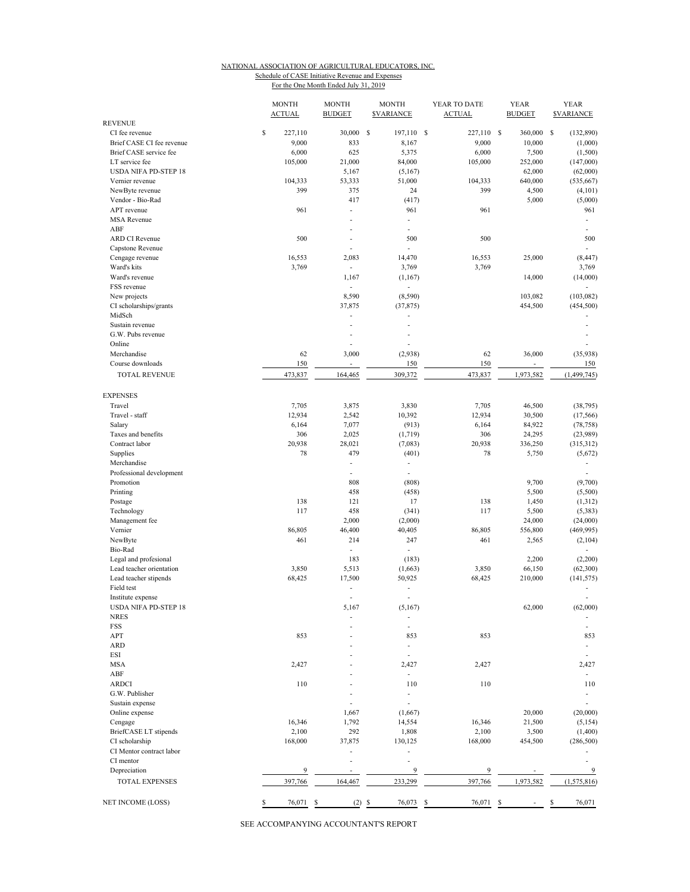## NATIONAL ASSOCIATION OF AGRICULTURAL EDUCATORS, INC. Schedule of CASE Initiative Revenue and Expenses

For the One Month Ended July 31, 2019

|                             | <b>MONTH</b><br><b>ACTUAL</b> | <b>MONTH</b><br><b>BUDGET</b> | <b>MONTH</b><br><b>SVARIANCE</b> | YEAR TO DATE<br><b>ACTUAL</b> | <b>YEAR</b><br><b>BUDGET</b> | <b>YEAR</b><br><b>SVARIANCE</b> |
|-----------------------------|-------------------------------|-------------------------------|----------------------------------|-------------------------------|------------------------------|---------------------------------|
| <b>REVENUE</b>              |                               |                               |                                  |                               |                              |                                 |
| CI fee revenue              | \$<br>227,110                 | 30,000                        | <sup>\$</sup><br>197,110 \$      | 227,110 \$                    | 360,000 \$                   | (132,890)                       |
| Brief CASE CI fee revenue   | 9,000                         | 833                           | 8,167                            | 9,000                         | 10,000                       | (1,000)                         |
| Brief CASE service fee      | 6,000                         | 625                           | 5,375                            | 6,000                         | 7,500                        | (1, 500)                        |
| LT service fee              | 105,000                       | 21,000                        | 84,000                           | 105,000                       | 252,000                      | (147,000)                       |
| <b>USDA NIFA PD-STEP 18</b> |                               | 5,167                         | (5,167)                          |                               | 62,000                       | (62,000)                        |
| Vernier revenue             | 104,333                       | 53,333                        | 51,000                           | 104,333                       | 640,000                      | (535, 667)                      |
| NewByte revenue             | 399                           | 375                           | 24                               | 399                           | 4,500                        | (4, 101)                        |
| Vendor - Bio-Rad            |                               | 417                           | (417)                            |                               | 5,000                        | (5,000)                         |
| APT revenue                 | 961                           | $\overline{a}$                | 961                              | 961                           |                              | 961                             |
| <b>MSA</b> Revenue          |                               | $\overline{a}$                | ÷.                               |                               |                              | $\mathbf{r}$                    |
| ABF                         |                               | $\overline{a}$                | $\overline{\phantom{0}}$         |                               |                              | $\overline{\phantom{a}}$        |
| <b>ARD CI Revenue</b>       | 500                           | L,                            | 500                              | 500                           |                              | 500                             |
| Capstone Revenue            |                               |                               | ÷.                               |                               |                              |                                 |
| Cengage revenue             | 16,553                        | 2,083                         | 14,470                           | 16,553                        | 25,000                       | (8, 447)                        |
| Ward's kits                 | 3,769                         | $\overline{a}$                | 3,769                            | 3,769                         |                              | 3,769                           |
| Ward's revenue              |                               | 1,167                         | (1,167)                          |                               | 14,000                       | (14,000)                        |
| FSS revenue                 |                               | L,                            |                                  |                               |                              |                                 |
| New projects                |                               | 8,590                         | (8,590)                          |                               | 103,082                      | (103, 082)                      |
| CI scholarships/grants      |                               | 37,875                        | (37, 875)                        |                               | 454,500                      | (454, 500)                      |
| MidSch                      |                               | $\overline{a}$                | ÷,                               |                               |                              |                                 |
| Sustain revenue             |                               | L,                            | ÷.                               |                               |                              | $\overline{a}$                  |
| G.W. Pubs revenue           |                               | L,                            | $\overline{a}$                   |                               |                              |                                 |
| Online                      |                               |                               | Ĭ.                               |                               |                              |                                 |
| Merchandise                 | 62                            | 3,000                         | (2,938)                          | 62                            | 36,000                       | (35,938)                        |
| Course downloads            | 150                           | $\overline{\phantom{a}}$      | 150                              | 150                           | $\sim$                       | 150                             |
| <b>TOTAL REVENUE</b>        | 473,837                       | 164,465                       | 309,372                          | 473,837                       | 1,973,582                    | (1, 499, 745)                   |
| <b>EXPENSES</b>             |                               |                               |                                  |                               |                              |                                 |
| Travel                      | 7,705                         | 3,875                         | 3,830                            | 7,705                         | 46,500                       | (38, 795)                       |
| Travel - staff              |                               |                               |                                  |                               |                              |                                 |
|                             | 12,934                        | 2,542                         | 10,392                           | 12,934                        | 30,500                       | (17, 566)                       |
| Salary                      | 6,164                         | 7,077                         | (913)                            | 6,164                         | 84,922                       | (78, 758)                       |
| Taxes and benefits          | 306                           | 2,025                         | (1,719)                          | 306                           | 24,295                       | (23,989)                        |
| Contract labor              | 20,938                        | 28,021                        | (7,083)                          | 20,938                        | 336,250                      | (315,312)                       |
| Supplies                    | 78                            | 479                           | (401)                            | 78                            | 5,750                        | (5,672)                         |
| Merchandise                 |                               | L,                            | ٠                                |                               |                              | $\overline{\phantom{a}}$        |
| Professional development    |                               | L,                            | $\overline{a}$                   |                               |                              | ÷,                              |
| Promotion                   |                               | 808                           | (808)                            |                               | 9,700                        | (9,700)                         |
| Printing                    |                               | 458                           | (458)                            |                               | 5,500                        | (5,500)                         |
| Postage                     | 138                           | 121                           | 17                               | 138                           | 1,450                        | (1,312)                         |
| Technology                  | 117                           | 458                           | (341)                            | 117                           | 5,500                        | (5, 383)                        |
| Management fee              |                               | 2,000                         | (2,000)                          |                               | 24,000                       | (24,000)                        |
| Vernier                     | 86,805                        | 46,400                        | 40,405                           | 86,805                        | 556,800                      | (469, 995)                      |
| NewByte                     | 461                           | 214                           | 247                              | 461                           | 2,565                        | (2,104)                         |
| Bio-Rad                     |                               | $\overline{a}$                | $\overline{\phantom{a}}$         |                               |                              | ٠                               |
| Legal and profesional       |                               | 183                           | (183)                            |                               | 2,200                        | (2,200)                         |
| Lead teacher orientation    | 3,850                         | 5,513                         | (1,663)                          | 3,850                         | 66,150                       | (62, 300)                       |
| Lead teacher stipends       | 68,425                        | 17,500                        | 50,925                           | 68,425                        | 210,000                      | (141, 575)                      |
| Field test                  |                               | L,                            | $\overline{a}$                   |                               |                              | $\lambda$                       |
| Institute expense           |                               | $\overline{\phantom{a}}$      | $\blacksquare$                   |                               |                              | $\overline{a}$                  |
| USDA NIFA PD-STEP 18        |                               | 5,167                         | (5,167)                          |                               | 62,000                       | (62,000)                        |
| <b>NRES</b>                 |                               | ä,                            | $\overline{\phantom{a}}$         |                               |                              |                                 |
| <b>FSS</b>                  |                               |                               | $\overline{a}$                   |                               |                              | ÷,                              |
| APT                         | 853                           |                               | 853                              | 853                           |                              | 853                             |
| <b>ARD</b>                  |                               |                               | ÷.                               |                               |                              | $\overline{\phantom{a}}$        |
| ESI                         |                               |                               | L,                               |                               |                              | ÷,                              |
| <b>MSA</b>                  | 2,427                         |                               | 2,427                            | 2,427                         |                              | 2,427                           |
| ABF                         |                               |                               | ٠                                |                               |                              | $\overline{\phantom{a}}$        |
| <b>ARDCI</b>                | 110                           |                               | 110                              | 110                           |                              | 110                             |
| G.W. Publisher              |                               |                               | $\overline{\phantom{a}}$         |                               |                              |                                 |
| Sustain expense             |                               |                               |                                  |                               |                              | ÷                               |
| Online expense              |                               | 1,667                         | (1,667)                          |                               | 20,000                       | (20,000)                        |
| Cengage                     | 16,346                        | 1,792                         | 14,554                           | 16,346                        | 21,500                       | (5, 154)                        |
| BriefCASE LT stipends       | 2,100                         | 292                           | 1,808                            | 2,100                         | 3,500                        | (1,400)                         |
| CI scholarship              | 168,000                       | 37,875                        | 130,125                          | 168,000                       | 454,500                      | (286, 500)                      |
| CI Mentor contract labor    |                               |                               | $\overline{\phantom{a}}$         |                               |                              |                                 |
| CI mentor                   |                               | ä,                            | L,                               |                               |                              |                                 |
| Depreciation                | 9                             |                               | 9                                | 9                             |                              | 9                               |
| <b>TOTAL EXPENSES</b>       | 397,766                       | 164,467                       | 233,299                          | 397,766                       | 1,973,582                    | (1,575,816)                     |
|                             |                               |                               |                                  |                               |                              |                                 |
| NET INCOME (LOSS)           | \$<br>76,071 \$               |                               | $(2)$ \$<br>76,073 \$            | 76,071 \$                     | $\sim$                       | \$<br>76,071                    |